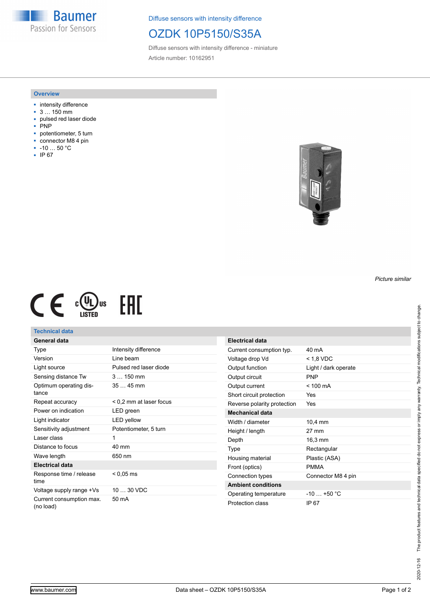**Baumer** Passion for Sensors

Diffuse sensors with intensity difference

## OZDK 10P5150/S35A

Diffuse sensors with intensity difference - miniature Article number: 10162951

#### **Overview**

- intensity difference
- 3 … 150 mm
- pulsed red laser diode
- .<br>PNP
- potentiometer, 5 turn
- connector M8 4 pin
- -10 … 50 °C
- IP 67



*Picture similar*



## **Technical data**

| <b>General data</b>                   |                         |
|---------------------------------------|-------------------------|
| Type                                  | Intensity difference    |
| Version                               | Line beam               |
| Light source                          | Pulsed red laser diode  |
| Sensing distance Tw                   | $3150$ mm               |
| Optimum operating dis-<br>tance       | $3545$ mm               |
| Repeat accuracy                       | < 0,2 mm at laser focus |
| Power on indication                   | LED green               |
| Light indicator                       | <b>LED</b> yellow       |
| Sensitivity adjustment                | Potentiometer, 5 turn   |
| Laser class                           | 1                       |
| Distance to focus                     | 40 mm                   |
| Wave length                           | 650 nm                  |
| <b>Electrical data</b>                |                         |
| Response time / release<br>time       | $< 0.05 \text{ ms}$     |
| Voltage supply range +Vs              | $1030$ VDC              |
| Current consumption max.<br>(no load) | 50 mA                   |

| Electrical data             |                      |
|-----------------------------|----------------------|
| Current consumption typ.    | 40 mA                |
| Voltage drop Vd             | < 1,8 VDC            |
| Output function             | Light / dark operate |
| Output circuit              | <b>PNP</b>           |
| Output current              | $< 100 \text{ mA}$   |
| Short circuit protection    | Yes                  |
| Reverse polarity protection | Yes                  |
| Mechanical data             |                      |
| Width / diameter            | 10.4 mm              |
| Height / length             | 27 mm                |
| Depth                       | 16.3 mm              |
| Type                        | Rectangular          |
| Housing material            | Plastic (ASA)        |
| Front (optics)              | <b>PMMA</b>          |
| Connection types            | Connector M8 4 pin   |
| <b>Ambient conditions</b>   |                      |
| Operating temperature       | $-10 + 50 °C$        |
| Protection class            | IP 67                |